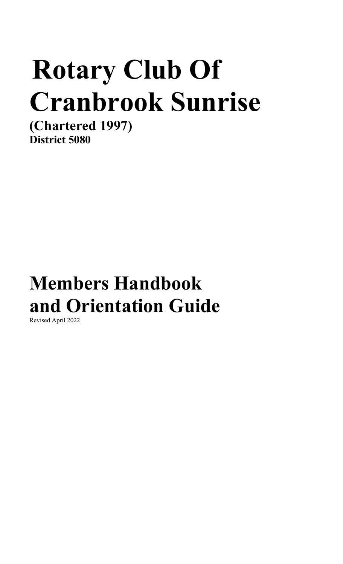# Rotary Club Of Cranbrook Sunrise

(Chartered 1997) District 5080

# Members Handbook and Orientation Guide

Revised April 2022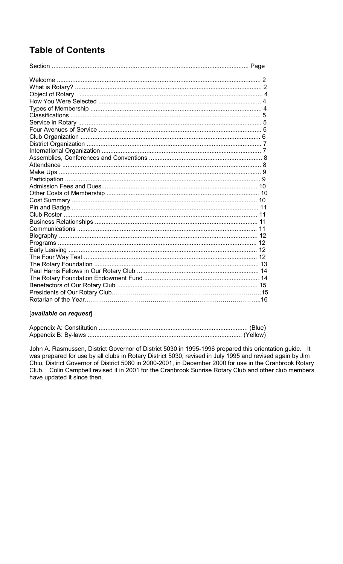# **Table of Contents**

 $\overline{a}$  $\sim$ 

#### [available on request]

John A. Rasmussen, District Governor of District 5030 in 1995-1996 prepared this orientation guide. It was prepared for use by all clubs in Rotary District 5030, revised in July 1995 and revised again by Jim Chiu, District Governor of District 5080 in 2000-2001, in December 2000 for use in the Cranbrook Rotary Club. Colin Campbell revised it in 2001 for the Cranbrook Sunrise Rotary Club and other club members have updated it since then.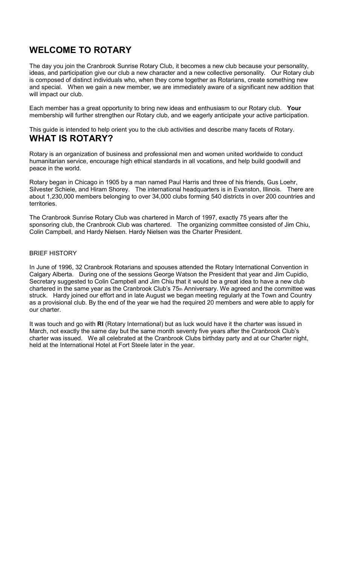# WELCOME TO ROTARY

The day you join the Cranbrook Sunrise Rotary Club, it becomes a new club because your personality, ideas, and participation give our club a new character and a new collective personality. Our Rotary club is composed of distinct individuals who, when they come together as Rotarians, create something new and special. When we gain a new member, we are immediately aware of a significant new addition that will impact our club.

Each member has a great opportunity to bring new ideas and enthusiasm to our Rotary club. Your membership will further strengthen our Rotary club, and we eagerly anticipate your active participation.

This guide is intended to help orient you to the club activities and describe many facets of Rotary. WHAT IS ROTARY?

Rotary is an organization of business and professional men and women united worldwide to conduct humanitarian service, encourage high ethical standards in all vocations, and help build goodwill and peace in the world.

Rotary began in Chicago in 1905 by a man named Paul Harris and three of his friends, Gus Loehr, Silvester Schiele, and Hiram Shorey. The international headquarters is in Evanston, Illinois. There are about 1,230,000 members belonging to over 34,000 clubs forming 540 districts in over 200 countries and territories.

The Cranbrook Sunrise Rotary Club was chartered in March of 1997, exactly 75 years after the sponsoring club, the Cranbrook Club was chartered. The organizing committee consisted of Jim Chiu, Colin Campbell, and Hardy Nielsen. Hardy Nielsen was the Charter President.

#### BRIEF HISTORY

In June of 1996, 32 Cranbrook Rotarians and spouses attended the Rotary International Convention in Calgary Alberta. During one of the sessions George Watson the President that year and Jim Cupidio, Secretary suggested to Colin Campbell and Jim Chiu that it would be a great idea to have a new club chartered in the same year as the Cranbrook Club's 75th Anniversary. We agreed and the committee was struck. Hardy joined our effort and in late August we began meeting regularly at the Town and Country as a provisional club. By the end of the year we had the required 20 members and were able to apply for our charter.

It was touch and go with RI (Rotary International) but as luck would have it the charter was issued in March, not exactly the same day but the same month seventy five years after the Cranbrook Club's charter was issued. We all celebrated at the Cranbrook Clubs birthday party and at our Charter night, held at the International Hotel at Fort Steele later in the year.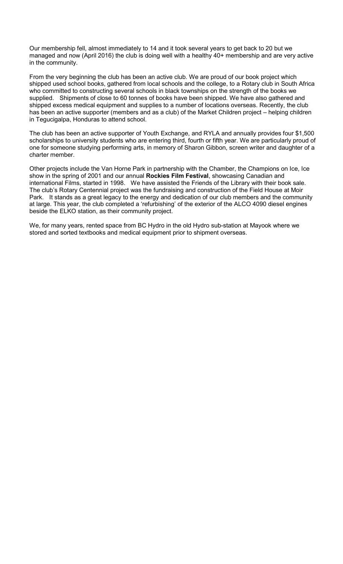Our membership fell, almost immediately to 14 and it took several years to get back to 20 but we managed and now (April 2016) the club is doing well with a healthy 40+ membership and are very active in the community.

From the very beginning the club has been an active club. We are proud of our book project which shipped used school books, gathered from local schools and the college, to a Rotary club in South Africa who committed to constructing several schools in black townships on the strength of the books we supplied. Shipments of close to 60 tonnes of books have been shipped. We have also gathered and shipped excess medical equipment and supplies to a number of locations overseas. Recently, the club has been an active supporter (members and as a club) of the Market Children project – helping children in Tegucigalpa, Honduras to attend school.

The club has been an active supporter of Youth Exchange, and RYLA and annually provides four \$1,500 scholarships to university students who are entering third, fourth or fifth year. We are particularly proud of one for someone studying performing arts, in memory of Sharon Gibbon, screen writer and daughter of a charter member.

Other projects include the Van Horne Park in partnership with the Chamber, the Champions on Ice, Ice show in the spring of 2001 and our annual Rockies Film Festival, showcasing Canadian and international Films, started in 1998. We have assisted the Friends of the Library with their book sale. The club's Rotary Centennial project was the fundraising and construction of the Field House at Moir Park. It stands as a great legacy to the energy and dedication of our club members and the community at large. This year, the club completed a 'refurbishing' of the exterior of the ALCO 4090 diesel engines beside the ELKO station, as their community project.

We, for many years, rented space from BC Hydro in the old Hydro sub-station at Mayook where we stored and sorted textbooks and medical equipment prior to shipment overseas.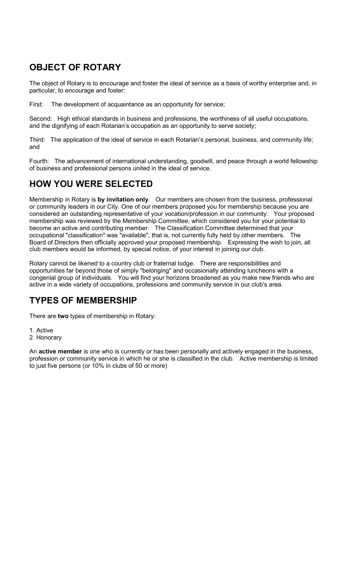# OBJECT OF ROTARY

The object of Rotary is to encourage and foster the ideal of service as a basis of worthy enterprise and, in particular, to encourage and foster:

First: The development of acquaintance as an opportunity for service;

Second: High ethical standards in business and professions, the worthiness of all useful occupations, and the dignifying of each Rotarian's occupation as an opportunity to serve society;

Third: The application of the ideal of service in each Rotarian's personal, business, and community life; and

Fourth: The advancement of international understanding, goodwill, and peace through a world fellowship of business and professional persons united in the ideal of service.

#### HOW YOU WERE SELECTED

Membership in Rotary is by invitation only. Our members are chosen from the business, professional or community leaders in our City. One of our members proposed you for membership because you are considered an outstanding representative of your vocation/profession in our community. Your proposed membership was reviewed by the Membership Committee, which considered you for your potential to become an active and contributing member. The Classification Committee determined that your occupational "classification" was "available", that is, not currently fully held by other members. The Board of Directors then officially approved your proposed membership. Expressing the wish to join, all club members would be informed, by special notice, of your interest in joining our club.

Rotary cannot be likened to a country club or fraternal lodge. There are responsibilities and opportunities far beyond those of simply "belonging" and occasionally attending luncheons with a congenial group of individuals. You will find your horizons broadened as you make new friends who are active in a wide variety of occupations, professions and community service in our club's area.

#### TYPES OF MEMBERSHIP

There are two types of membership in Rotary:

- 1. Active
- 2. Honorary

An **active member** is one who is currently or has been personally and actively engaged in the business, profession or community service in which he or she is classified in the club. Active membership is limited to just five persons (or 10% in clubs of 50 or more)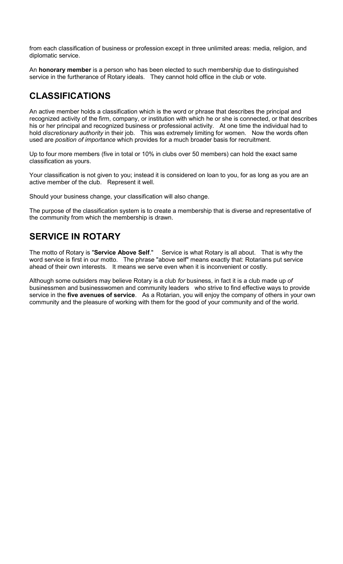from each classification of business or profession except in three unlimited areas: media, religion, and diplomatic service.

An **honorary member** is a person who has been elected to such membership due to distinguished service in the furtherance of Rotary ideals. They cannot hold office in the club or vote.

#### CLASSIFICATIONS

An active member holds a classification which is the word or phrase that describes the principal and recognized activity of the firm, company, or institution with which he or she is connected, or that describes his or her principal and recognized business or professional activity. At one time the individual had to hold *discretionary authority* in their job. This was extremely limiting for women. Now the words often used are position of importance which provides for a much broader basis for recruitment.

Up to four more members (five in total or 10% in clubs over 50 members) can hold the exact same classification as yours.

Your classification is not given to you; instead it is considered on loan to you, for as long as you are an active member of the club. Represent it well.

Should your business change, your classification will also change.

The purpose of the classification system is to create a membership that is diverse and representative of the community from which the membership is drawn.

#### SERVICE IN ROTARY

The motto of Rotary is "Service Above Self." Service is what Rotary is all about. That is why the word service is first in our motto. The phrase "above self" means exactly that: Rotarians put service ahead of their own interests. It means we serve even when it is inconvenient or costly.

Although some outsiders may believe Rotary is a club for business, in fact it is a club made up of businessmen and businesswomen and community leaders who strive to find effective ways to provide service in the five avenues of service. As a Rotarian, you will enjoy the company of others in your own community and the pleasure of working with them for the good of your community and of the world.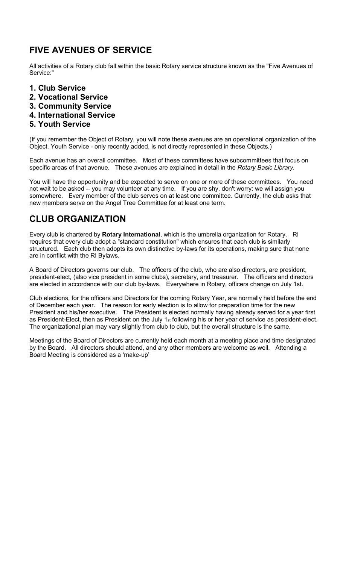#### FIVE AVENUES OF SERVICE

All activities of a Rotary club fall within the basic Rotary service structure known as the "Five Avenues of Service:"

- 1. Club Service
- 2. Vocational Service
- 3. Community Service
- 4. International Service
- 5. Youth Service

(If you remember the Object of Rotary, you will note these avenues are an operational organization of the Object. Youth Service - only recently added, is not directly represented in these Objects.)

Each avenue has an overall committee. Most of these committees have subcommittees that focus on specific areas of that avenue. These avenues are explained in detail in the Rotary Basic Library.

You will have the opportunity and be expected to serve on one or more of these committees. You need not wait to be asked -- you may volunteer at any time. If you are shy, don't worry: we will assign you somewhere. Every member of the club serves on at least one committee. Currently, the club asks that new members serve on the Angel Tree Committee for at least one term.

#### CLUB ORGANIZATION

Every club is chartered by Rotary International, which is the umbrella organization for Rotary. RI requires that every club adopt a "standard constitution" which ensures that each club is similarly structured. Each club then adopts its own distinctive by-laws for its operations, making sure that none are in conflict with the RI Bylaws.

A Board of Directors governs our club. The officers of the club, who are also directors, are president, president-elect, (also vice president in some clubs), secretary, and treasurer. The officers and directors are elected in accordance with our club by-laws. Everywhere in Rotary, officers change on July 1st.

Club elections, for the officers and Directors for the coming Rotary Year, are normally held before the end of December each year. The reason for early election is to allow for preparation time for the new President and his/her executive. The President is elected normally having already served for a year first as President-Elect, then as President on the July 1st following his or her year of service as president-elect. The organizational plan may vary slightly from club to club, but the overall structure is the same.

Meetings of the Board of Directors are currently held each month at a meeting place and time designated by the Board. All directors should attend, and any other members are welcome as well. Attending a Board Meeting is considered as a 'make-up'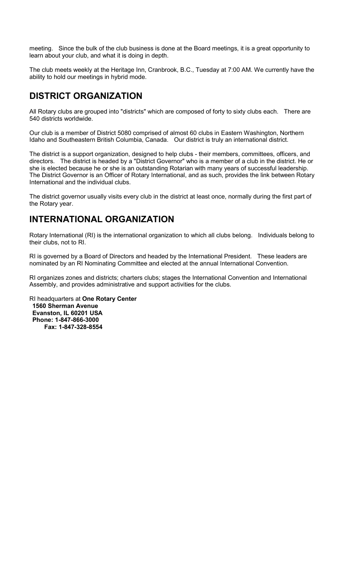meeting. Since the bulk of the club business is done at the Board meetings, it is a great opportunity to learn about your club, and what it is doing in depth.

The club meets weekly at the Heritage Inn, Cranbrook, B.C., Tuesday at 7:00 AM. We currently have the ability to hold our meetings in hybrid mode.

#### DISTRICT ORGANIZATION

All Rotary clubs are grouped into "districts" which are composed of forty to sixty clubs each. There are 540 districts worldwide.

Our club is a member of District 5080 comprised of almost 60 clubs in Eastern Washington, Northern Idaho and Southeastern British Columbia, Canada. Our district is truly an international district.

The district is a support organization, designed to help clubs - their members, committees, officers, and directors. The district is headed by a "District Governor" who is a member of a club in the district. He or she is elected because he or she is an outstanding Rotarian with many years of successful leadership. The District Governor is an Officer of Rotary International, and as such, provides the link between Rotary International and the individual clubs.

The district governor usually visits every club in the district at least once, normally during the first part of the Rotary year.

#### INTERNATIONAL ORGANIZATION

Rotary International (RI) is the international organization to which all clubs belong. Individuals belong to their clubs, not to RI.

RI is governed by a Board of Directors and headed by the International President. These leaders are nominated by an RI Nominating Committee and elected at the annual International Convention.

RI organizes zones and districts; charters clubs; stages the International Convention and International Assembly, and provides administrative and support activities for the clubs.

RI headquarters at One Rotary Center 1560 Sherman Avenue Evanston, IL 60201 USA Phone: 1-847-866-3000 Fax: 1-847-328-8554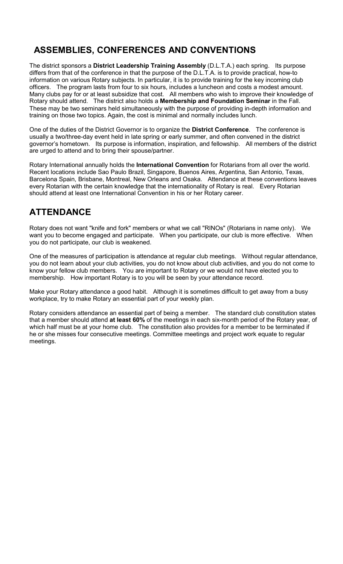# ASSEMBLIES, CONFERENCES AND CONVENTIONS

The district sponsors a **District Leadership Training Assembly** (D.L.T.A.) each spring. Its purpose differs from that of the conference in that the purpose of the D.L.T.A. is to provide practical, how-to information on various Rotary subjects. In particular, it is to provide training for the key incoming club officers. The program lasts from four to six hours, includes a luncheon and costs a modest amount. Many clubs pay for or at least subsidize that cost. All members who wish to improve their knowledge of Rotary should attend. The district also holds a Membership and Foundation Seminar in the Fall. These may be two seminars held simultaneously with the purpose of providing in-depth information and training on those two topics. Again, the cost is minimal and normally includes lunch.

One of the duties of the District Governor is to organize the **District Conference**. The conference is usually a two/three-day event held in late spring or early summer, and often convened in the district governor's hometown. Its purpose is information, inspiration, and fellowship. All members of the district are urged to attend and to bring their spouse/partner.

Rotary International annually holds the **International Convention** for Rotarians from all over the world. Recent locations include Sao Paulo Brazil, Singapore, Buenos Aires, Argentina, San Antonio, Texas, Barcelona Spain, Brisbane, Montreal, New Orleans and Osaka. Attendance at these conventions leaves every Rotarian with the certain knowledge that the internationality of Rotary is real. Every Rotarian should attend at least one International Convention in his or her Rotary career.

#### ATTENDANCE

Rotary does not want "knife and fork" members or what we call "RINOs" (Rotarians in name only). We want you to become engaged and participate. When you participate, our club is more effective. When you do not participate, our club is weakened.

One of the measures of participation is attendance at regular club meetings. Without regular attendance, you do not learn about your club activities, you do not know about club activities, and you do not come to know your fellow club members. You are important to Rotary or we would not have elected you to membership. How important Rotary is to you will be seen by your attendance record.

Make your Rotary attendance a good habit. Although it is sometimes difficult to get away from a busy workplace, try to make Rotary an essential part of your weekly plan.

Rotary considers attendance an essential part of being a member. The standard club constitution states that a member should attend at least 60% of the meetings in each six-month period of the Rotary year, of which half must be at your home club. The constitution also provides for a member to be terminated if he or she misses four consecutive meetings. Committee meetings and project work equate to regular meetings.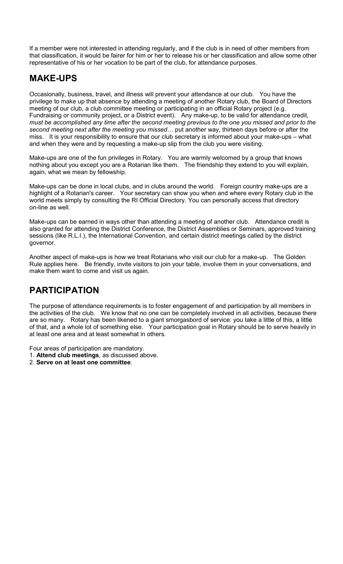If a member were not interested in attending regularly, and if the club is in need of other members from that classification, it would be fairer for him or her to release his or her classification and allow some other representative of his or her vocation to be part of the club, for attendance purposes.

#### MAKE-UPS

Occasionally, business, travel, and illness will prevent your attendance at our club. You have the privilege to make up that absence by attending a meeting of another Rotary club, the Board of Directors meeting of our club, a club committee meeting or participating in an official Rotary project (e.g. Fundraising or community project, or a District event). Any make-up, to be valid for attendance credit, must be accomplished any time after the second meeting previous to the one you missed and prior to the second meeting next after the meeting you missed... put another way, thirteen days before or after the miss. It is your responsibility to ensure that our club secretary is informed about your make-ups – what and when they were and by requesting a make-up slip from the club you were visiting.

Make-ups are one of the fun privileges in Rotary. You are warmly welcomed by a group that knows nothing about you except you are a Rotarian like them. The friendship they extend to you will explain, again, what we mean by fellowship.

Make-ups can be done in local clubs, and in clubs around the world. Foreign country make-ups are a highlight of a Rotarian's career. Your secretary can show you when and where every Rotary club in the world meets simply by consulting the RI Official Directory. You can personally access that directory on-line as well.

Make-ups can be earned in ways other than attending a meeting of another club. Attendance credit is also granted for attending the District Conference, the District Assemblies or Seminars, approved training sessions (like R.L.I.), the International Convention, and certain district meetings called by the district governor.

Another aspect of make-ups is how we treat Rotarians who visit our club for a make-up. The Golden Rule applies here. Be friendly, invite visitors to join your table, involve them in your conversations, and make them want to come and visit us again.

## PARTICIPATION

The purpose of attendance requirements is to foster engagement of and participation by all members in the activities of the club. We know that no one can be completely involved in all activities, because there are so many. Rotary has been likened to a giant smorgasbord of service: you take a little of this, a little of that, and a whole lot of something else. Your participation goal in Rotary should be to serve heavily in at least one area and at least somewhat in others.

Four areas of participation are mandatory.

- 1. Attend club meetings, as discussed above.
- 2. Serve on at least one committee.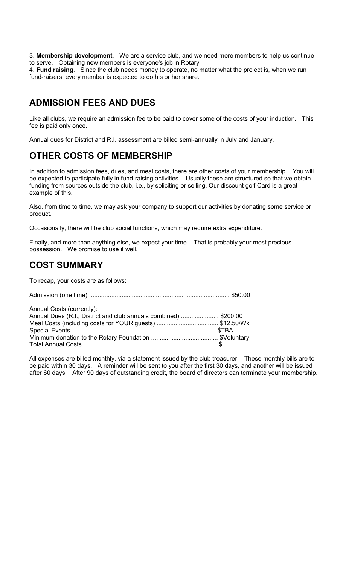3. Membership development. We are a service club, and we need more members to help us continue to serve. Obtaining new members is everyone's job in Rotary.

4. Fund raising. Since the club needs money to operate, no matter what the project is, when we run fund-raisers, every member is expected to do his or her share.

#### ADMISSION FEES AND DUES

Like all clubs, we require an admission fee to be paid to cover some of the costs of your induction. This fee is paid only once.

Annual dues for District and R.I. assessment are billed semi-annually in July and January.

#### OTHER COSTS OF MEMBERSHIP

In addition to admission fees, dues, and meal costs, there are other costs of your membership. You will be expected to participate fully in fund-raising activities. Usually these are structured so that we obtain funding from sources outside the club, i.e., by soliciting or selling. Our discount golf Card is a great example of this.

Also, from time to time, we may ask your company to support our activities by donating some service or product.

Occasionally, there will be club social functions, which may require extra expenditure.

Finally, and more than anything else, we expect your time. That is probably your most precious possession. We promise to use it well.

#### COST SUMMARY

To recap, your costs are as follows:

Admission (one time) .................................................................................. \$50.00

Annual Costs (currently):

| Annual Dues (R.I., District and club annuals combined)  \$200.00 |  |
|------------------------------------------------------------------|--|
|                                                                  |  |
|                                                                  |  |
|                                                                  |  |
|                                                                  |  |

All expenses are billed monthly, via a statement issued by the club treasurer. These monthly bills are to be paid within 30 days. A reminder will be sent to you after the first 30 days, and another will be issued after 60 days. After 90 days of outstanding credit, the board of directors can terminate your membership.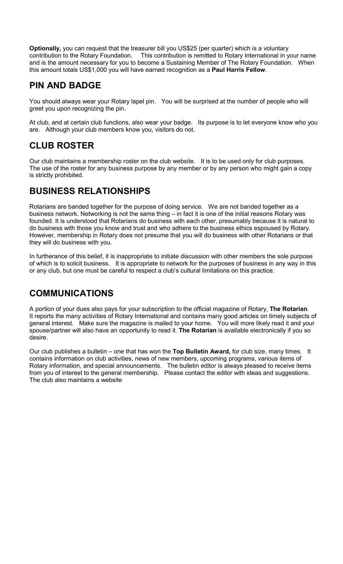Optionally, you can request that the treasurer bill you US\$25 (per quarter) which is a voluntary contribution to the Rotary Foundation. This contribution is remitted to Rotary International in your name and is the amount necessary for you to become a Sustaining Member of The Rotary Foundation. When this amount totals US\$1,000 you will have earned recognition as a Paul Harris Fellow.

#### PIN AND BADGE

You should always wear your Rotary lapel pin. You will be surprised at the number of people who will greet you upon recognizing the pin.

At club, and at certain club functions, also wear your badge. Its purpose is to let everyone know who you are. Although your club members know you, visitors do not.

#### CLUB ROSTER

Our club maintains a membership roster on the club website. It is to be used only for club purposes. The use of the roster for any business purpose by any member or by any person who might gain a copy is strictly prohibited.

## BUSINESS RELATIONSHIPS

Rotarians are banded together for the purpose of doing service. We are not banded together as a business network. Networking is not the same thing – in fact it is one of the initial reasons Rotary was founded. It is understood that Rotarians do business with each other, presumably because it is natural to do business with those you know and trust and who adhere to the business ethics espoused by Rotary. However, membership in Rotary does not presume that you will do business with other Rotarians or that they will do business with you.

In furtherance of this belief, it is inappropriate to initiate discussion with other members the sole purpose of which is to solicit business. It is appropriate to network for the purposes of business in any way in this or any club, but one must be careful to respect a club's cultural limitations on this practice.

#### COMMUNICATIONS

A portion of your dues also pays for your subscription to the official magazine of Rotary, The Rotarian. It reports the many activities of Rotary International and contains many good articles on timely subjects of general interest. Make sure the magazine is mailed to your home. You will more likely read it and your spouse/partner will also have an opportunity to read it. The Rotarian is available electronically if you so desire.

Our club publishes a bulletin – one that has won the Top Bulletin Award, for club size, many times. It contains information on club activities, news of new members, upcoming programs, various items of Rotary information, and special announcements. The bulletin editor is always pleased to receive items from you of interest to the general membership. Please contact the editor with ideas and suggestions. The club also maintains a website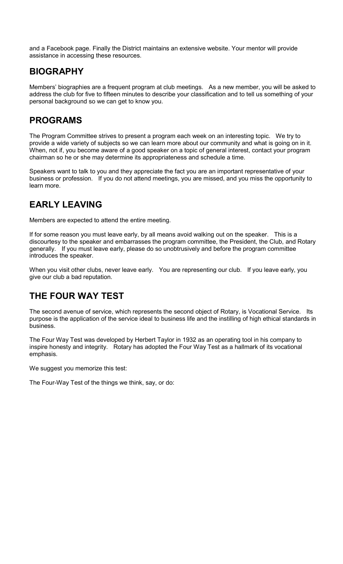and a Facebook page. Finally the District maintains an extensive website. Your mentor will provide assistance in accessing these resources.

#### BIOGRAPHY

Members' biographies are a frequent program at club meetings. As a new member, you will be asked to address the club for five to fifteen minutes to describe your classification and to tell us something of your personal background so we can get to know you.

#### PROGRAMS

The Program Committee strives to present a program each week on an interesting topic. We try to provide a wide variety of subjects so we can learn more about our community and what is going on in it. When, not if, you become aware of a good speaker on a topic of general interest, contact your program chairman so he or she may determine its appropriateness and schedule a time.

Speakers want to talk to you and they appreciate the fact you are an important representative of your business or profession. If you do not attend meetings, you are missed, and you miss the opportunity to learn more.

# EARLY LEAVING

Members are expected to attend the entire meeting.

If for some reason you must leave early, by all means avoid walking out on the speaker. This is a discourtesy to the speaker and embarrasses the program committee, the President, the Club, and Rotary generally. If you must leave early, please do so unobtrusively and before the program committee introduces the speaker.

When you visit other clubs, never leave early. You are representing our club. If you leave early, you give our club a bad reputation.

## THE FOUR WAY TEST

The second avenue of service, which represents the second object of Rotary, is Vocational Service. Its purpose is the application of the service ideal to business life and the instilling of high ethical standards in business.

The Four Way Test was developed by Herbert Taylor in 1932 as an operating tool in his company to inspire honesty and integrity. Rotary has adopted the Four Way Test as a hallmark of its vocational emphasis.

We suggest you memorize this test:

The Four-Way Test of the things we think, say, or do: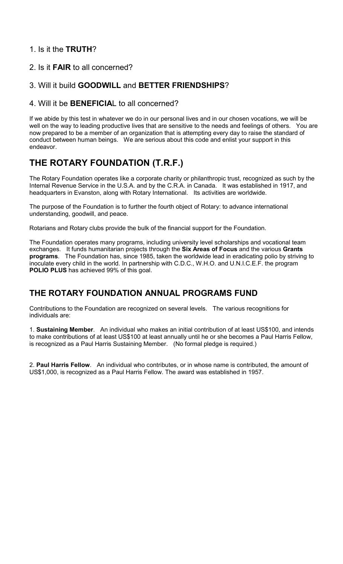#### 1. Is it the TRUTH?

#### 2. Is it FAIR to all concerned?

#### 3. Will it build GOODWILL and BETTER FRIENDSHIPS?

#### 4. Will it be BENEFICIAL to all concerned?

If we abide by this test in whatever we do in our personal lives and in our chosen vocations, we will be well on the way to leading productive lives that are sensitive to the needs and feelings of others. You are now prepared to be a member of an organization that is attempting every day to raise the standard of conduct between human beings. We are serious about this code and enlist your support in this endeavor.

#### THE ROTARY FOUNDATION (T.R.F.)

The Rotary Foundation operates like a corporate charity or philanthropic trust, recognized as such by the Internal Revenue Service in the U.S.A. and by the C.R.A. in Canada. It was established in 1917, and headquarters in Evanston, along with Rotary International. Its activities are worldwide.

The purpose of the Foundation is to further the fourth object of Rotary: to advance international understanding, goodwill, and peace.

Rotarians and Rotary clubs provide the bulk of the financial support for the Foundation.

The Foundation operates many programs, including university level scholarships and vocational team exchanges. It funds humanitarian projects through the Six Areas of Focus and the various Grants programs. The Foundation has, since 1985, taken the worldwide lead in eradicating polio by striving to inoculate every child in the world. In partnership with C.D.C., W.H.O. and U.N.I.C.E.F. the program POLIO PLUS has achieved 99% of this goal.

#### THE ROTARY FOUNDATION ANNUAL PROGRAMS FUND

Contributions to the Foundation are recognized on several levels. The various recognitions for individuals are:

1. Sustaining Member. An individual who makes an initial contribution of at least US\$100, and intends to make contributions of at least US\$100 at least annually until he or she becomes a Paul Harris Fellow, is recognized as a Paul Harris Sustaining Member. (No formal pledge is required.)

2. **Paul Harris Fellow.** An individual who contributes, or in whose name is contributed, the amount of US\$1,000, is recognized as a Paul Harris Fellow. The award was established in 1957.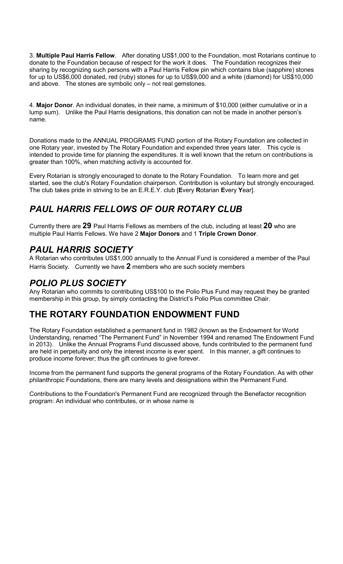3. Multiple Paul Harris Fellow. After donating US\$1,000 to the Foundation, most Rotarians continue to donate to the Foundation because of respect for the work it does. The Foundation recognizes their sharing by recognizing such persons with a Paul Harris Fellow pin which contains blue (sapphire) stones for up to US\$6,000 donated, red (ruby) stones for up to US\$9,000 and a white (diamond) for US\$10,000 and above. The stones are symbolic only – not real gemstones.

4. Major Donor. An individual donates, in their name, a minimum of \$10,000 (either cumulative or in a lump sum). Unlike the Paul Harris designations, this donation can not be made in another person's name.

Donations made to the ANNUAL PROGRAMS FUND portion of the Rotary Foundation are collected in one Rotary year, invested by The Rotary Foundation and expended three years later. This cycle is intended to provide time for planning the expenditures. It is well known that the return on contributions is greater than 100%, when matching activity is accounted for.

Every Rotarian is strongly encouraged to donate to the Rotary Foundation. To learn more and get started, see the club's Rotary Foundation chairperson. Contribution is voluntary but strongly encouraged. The club takes pride in striving to be an E.R.E.Y. club [Every Rotarian Every Year].

## PAUL HARRIS FELLOWS OF OUR ROTARY CLUB

Currently there are 29 Paul Harris Fellows as members of the club, including at least 20 who are multiple Paul Harris Fellows. We have 2 Major Donors and 1 Triple Crown Donor.

#### PAUL HARRIS SOCIETY

A Rotarian who contributes US\$1,000 annually to the Annual Fund is considered a member of the Paul Harris Society. Currently we have  $2$  members who are such society members

#### POLIO PLUS SOCIETY

Any Rotarian who commits to contributing US\$100 to the Polio Plus Fund may request they be granted membership in this group, by simply contacting the District's Polio Plus committee Chair.

#### THE ROTARY FOUNDATION ENDOWMENT FUND

The Rotary Foundation established a permanent fund in 1982 (known as the Endowment for World Understanding, renamed "The Permanent Fund" in November 1994 and renamed The Endowment Fund in 2013). Unlike the Annual Programs Fund discussed above, funds contributed to the permanent fund are held in perpetuity and only the interest income is ever spent. In this manner, a gift continues to produce income forever; thus the gift continues to give forever.

Income from the permanent fund supports the general programs of the Rotary Foundation. As with other philanthropic Foundations, there are many levels and designations within the Permanent Fund.

Contributions to the Foundation's Permanent Fund are recognized through the Benefactor recognition program: An individual who contributes, or in whose name is